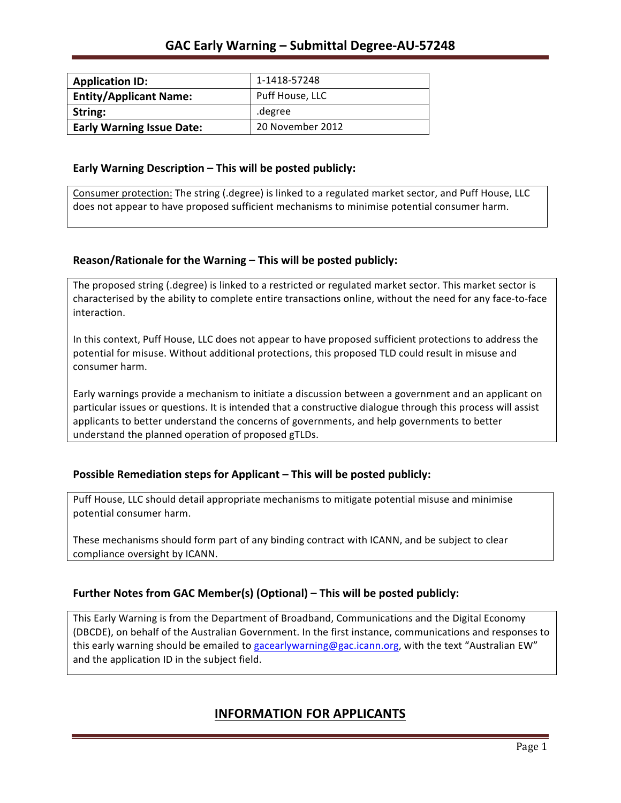| <b>Application ID:</b>           | 1-1418-57248     |
|----------------------------------|------------------|
| <b>Entity/Applicant Name:</b>    | Puff House, LLC  |
| String:                          | degree.          |
| <b>Early Warning Issue Date:</b> | 20 November 2012 |

### **Early Warning Description – This will be posted publicly:**

Consumer protection: The string (.degree) is linked to a regulated market sector, and Puff House, LLC does not appear to have proposed sufficient mechanisms to minimise potential consumer harm.

## **Reason/Rationale for the Warning – This will be posted publicly:**

The proposed string (.degree) is linked to a restricted or regulated market sector. This market sector is characterised by the ability to complete entire transactions online, without the need for any face-to-face interaction.

In this context, Puff House, LLC does not appear to have proposed sufficient protections to address the potential for misuse. Without additional protections, this proposed TLD could result in misuse and consumer harm.

Early warnings provide a mechanism to initiate a discussion between a government and an applicant on particular issues or questions. It is intended that a constructive dialogue through this process will assist applicants to better understand the concerns of governments, and help governments to better understand the planned operation of proposed gTLDs.

## **Possible Remediation steps for Applicant – This will be posted publicly:**

Puff House, LLC should detail appropriate mechanisms to mitigate potential misuse and minimise potential consumer harm.

These mechanisms should form part of any binding contract with ICANN, and be subject to clear compliance oversight by ICANN.

## **Further Notes from GAC Member(s) (Optional)** – This will be posted publicly:

This Early Warning is from the Department of Broadband, Communications and the Digital Economy (DBCDE), on behalf of the Australian Government. In the first instance, communications and responses to this early warning should be emailed to gacearlywarning@gac.icann.org, with the text "Australian EW" and the application ID in the subject field.

# **INFORMATION FOR APPLICANTS**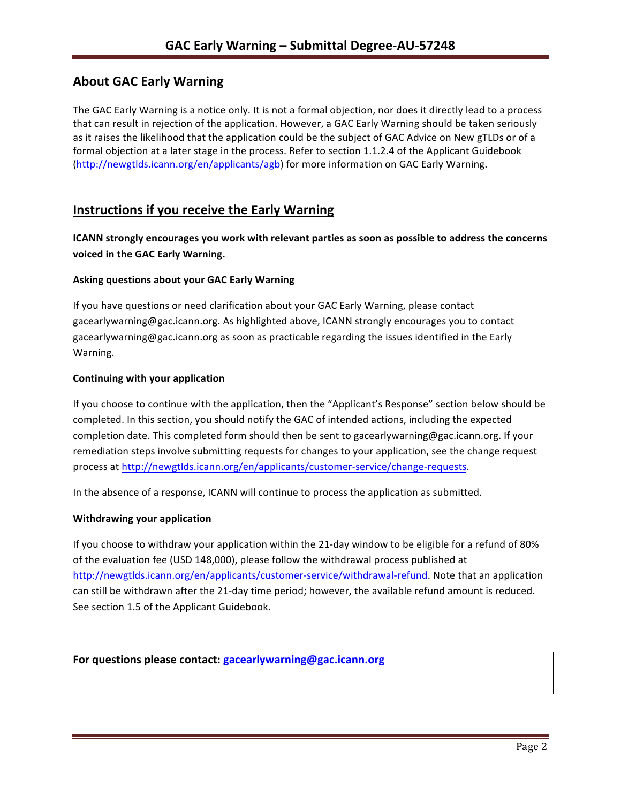# **About GAC Early Warning**

The GAC Early Warning is a notice only. It is not a formal objection, nor does it directly lead to a process that can result in rejection of the application. However, a GAC Early Warning should be taken seriously as it raises the likelihood that the application could be the subject of GAC Advice on New gTLDs or of a formal objection at a later stage in the process. Refer to section 1.1.2.4 of the Applicant Guidebook (http://newgtlds.icann.org/en/applicants/agb) for more information on GAC Early Warning.

## **Instructions if you receive the Early Warning**

**ICANN** strongly encourages you work with relevant parties as soon as possible to address the concerns **voiced in the GAC Early Warning.** 

### **Asking questions about your GAC Early Warning**

If you have questions or need clarification about your GAC Early Warning, please contact gacearlywarning@gac.icann.org. As highlighted above, ICANN strongly encourages you to contact gacearlywarning@gac.icann.org as soon as practicable regarding the issues identified in the Early Warning. 

#### **Continuing with your application**

If you choose to continue with the application, then the "Applicant's Response" section below should be completed. In this section, you should notify the GAC of intended actions, including the expected completion date. This completed form should then be sent to gacearlywarning@gac.icann.org. If your remediation steps involve submitting requests for changes to your application, see the change request process at http://newgtlds.icann.org/en/applicants/customer-service/change-requests.

In the absence of a response, ICANN will continue to process the application as submitted.

#### **Withdrawing your application**

If you choose to withdraw your application within the 21-day window to be eligible for a refund of 80% of the evaluation fee (USD 148,000), please follow the withdrawal process published at http://newgtlds.icann.org/en/applicants/customer-service/withdrawal-refund. Note that an application can still be withdrawn after the 21-day time period; however, the available refund amount is reduced. See section 1.5 of the Applicant Guidebook.

```
For questions please contact: gacearlywarning@gac.icann.org
```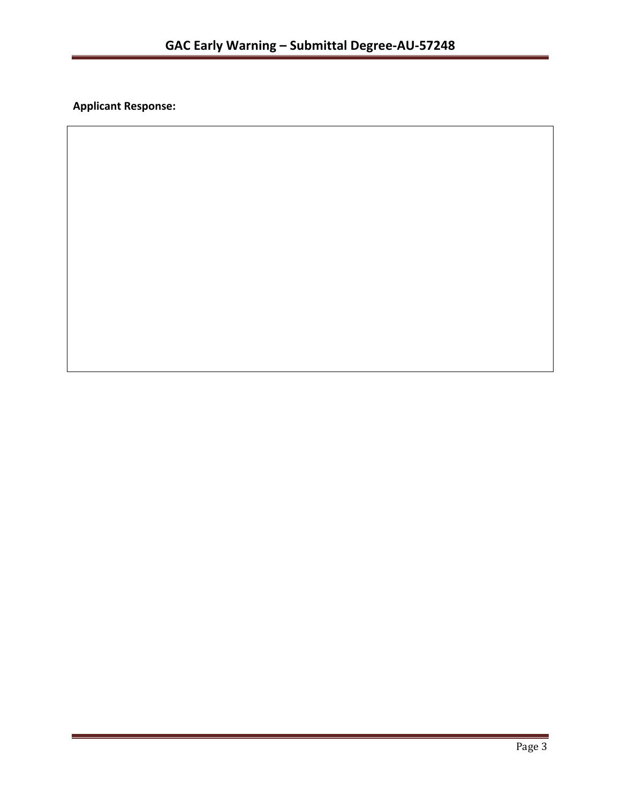**Applicant Response:**